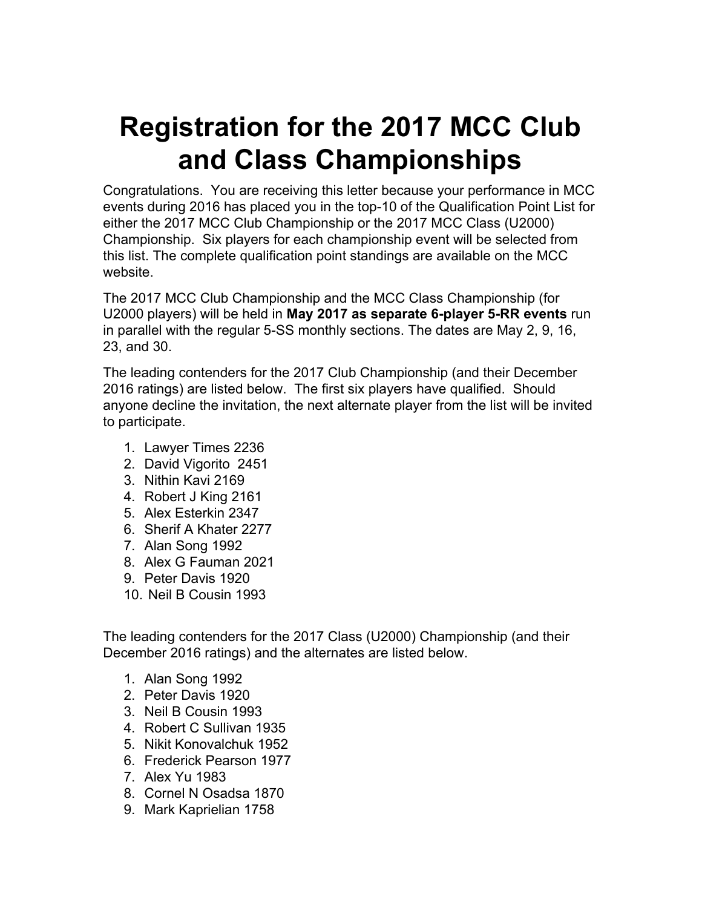# **Registration for the 2017 MCC Club and Class Championships**

Congratulations. You are receiving this letter because your performance in MCC events during 2016 has placed you in the top-10 of the Qualification Point List for either the 2017 MCC Club Championship or the 2017 MCC Class (U2000) Championship. Six players for each championship event will be selected from this list. The complete qualification point standings are available on the MCC website.

The 2017 MCC Club Championship and the MCC Class Championship (for U2000 players) will be held in **May 2017 as separate 6-player 5-RR events** run in parallel with the regular 5-SS monthly sections. The dates are May 2, 9, 16, 23, and 30.

The leading contenders for the 2017 Club Championship (and their December 2016 ratings) are listed below. The first six players have qualified. Should anyone decline the invitation, the next alternate player from the list will be invited to participate.

- 1. Lawyer Times 2236
- 2. David Vigorito 2451
- 3. Nithin Kavi 2169
- 4. Robert J King 2161
- 5. Alex Esterkin 2347
- 6. Sherif A Khater 2277
- 7. Alan Song 1992
- 8. Alex G Fauman 2021
- 9. Peter Davis 1920
- 10. Neil B Cousin 1993

The leading contenders for the 2017 Class (U2000) Championship (and their December 2016 ratings) and the alternates are listed below.

- 1. Alan Song 1992
- 2. Peter Davis 1920
- 3. Neil B Cousin 1993
- 4. Robert C Sullivan 1935
- 5. Nikit Konovalchuk 1952
- 6. Frederick Pearson 1977
- 7. Alex Yu 1983
- 8. Cornel N Osadsa 1870
- 9. Mark Kaprielian 1758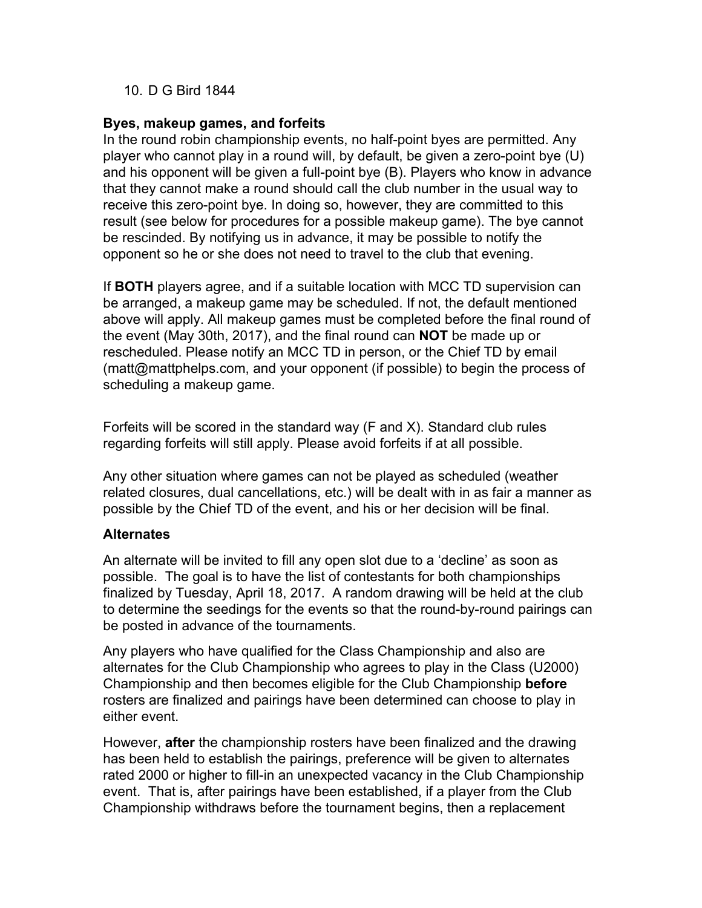## 10. D G Bird 1844

### **Byes, makeup games, and forfeits**

In the round robin championship events, no half-point byes are permitted. Any player who cannot play in a round will, by default, be given a zero-point bye (U) and his opponent will be given a full-point bye (B). Players who know in advance that they cannot make a round should call the club number in the usual way to receive this zero-point bye. In doing so, however, they are committed to this result (see below for procedures for a possible makeup game). The bye cannot be rescinded. By notifying us in advance, it may be possible to notify the opponent so he or she does not need to travel to the club that evening.

If **BOTH** players agree, and if a suitable location with MCC TD supervision can be arranged, a makeup game may be scheduled. If not, the default mentioned above will apply. All makeup games must be completed before the final round of the event (May 30th, 2017), and the final round can **NOT** be made up or rescheduled. Please notify an MCC TD in person, or the Chief TD by email (matt@mattphelps.com, and your opponent (if possible) to begin the process of scheduling a makeup game.

Forfeits will be scored in the standard way (F and X). Standard club rules regarding forfeits will still apply. Please avoid forfeits if at all possible.

Any other situation where games can not be played as scheduled (weather related closures, dual cancellations, etc.) will be dealt with in as fair a manner as possible by the Chief TD of the event, and his or her decision will be final.

## **Alternates**

An alternate will be invited to fill any open slot due to a 'decline' as soon as possible. The goal is to have the list of contestants for both championships finalized by Tuesday, April 18, 2017. A random drawing will be held at the club to determine the seedings for the events so that the round-by-round pairings can be posted in advance of the tournaments.

Any players who have qualified for the Class Championship and also are alternates for the Club Championship who agrees to play in the Class (U2000) Championship and then becomes eligible for the Club Championship **before** rosters are finalized and pairings have been determined can choose to play in either event.

However, **after** the championship rosters have been finalized and the drawing has been held to establish the pairings, preference will be given to alternates rated 2000 or higher to fill-in an unexpected vacancy in the Club Championship event. That is, after pairings have been established, if a player from the Club Championship withdraws before the tournament begins, then a replacement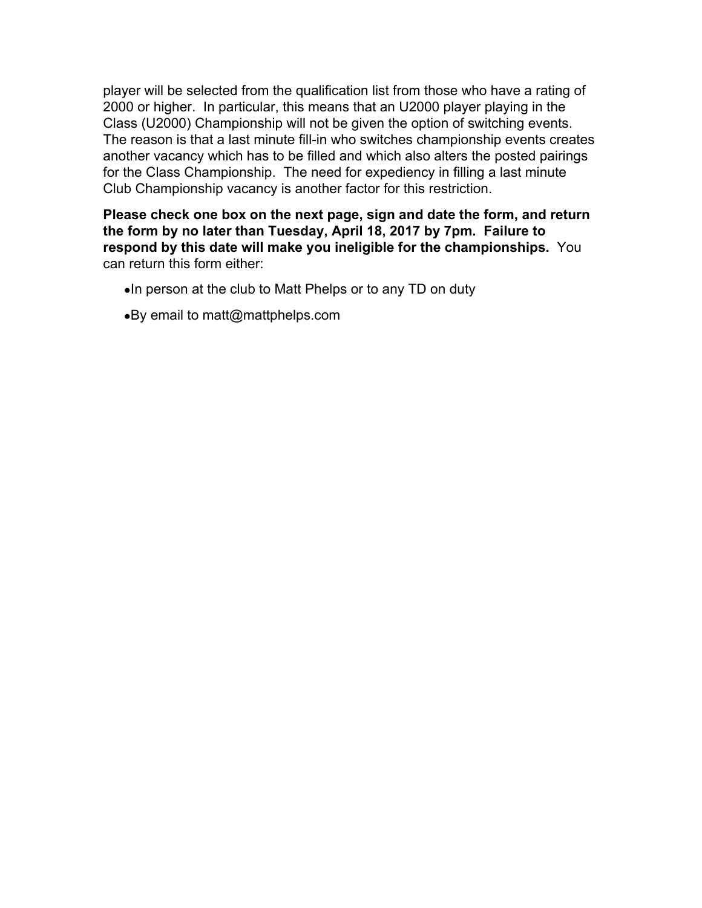player will be selected from the qualification list from those who have a rating of 2000 or higher. In particular, this means that an U2000 player playing in the Class (U2000) Championship will not be given the option of switching events. The reason is that a last minute fill-in who switches championship events creates another vacancy which has to be filled and which also alters the posted pairings for the Class Championship. The need for expediency in filling a last minute Club Championship vacancy is another factor for this restriction.

**Please check one box on the next page, sign and date the form, and return the form by no later than Tuesday, April 18, 2017 by 7pm. Failure to respond by this date will make you ineligible for the championships.** You can return this form either:

- ●In person at the club to Matt Phelps or to any TD on duty
- ●By email to matt@mattphelps.com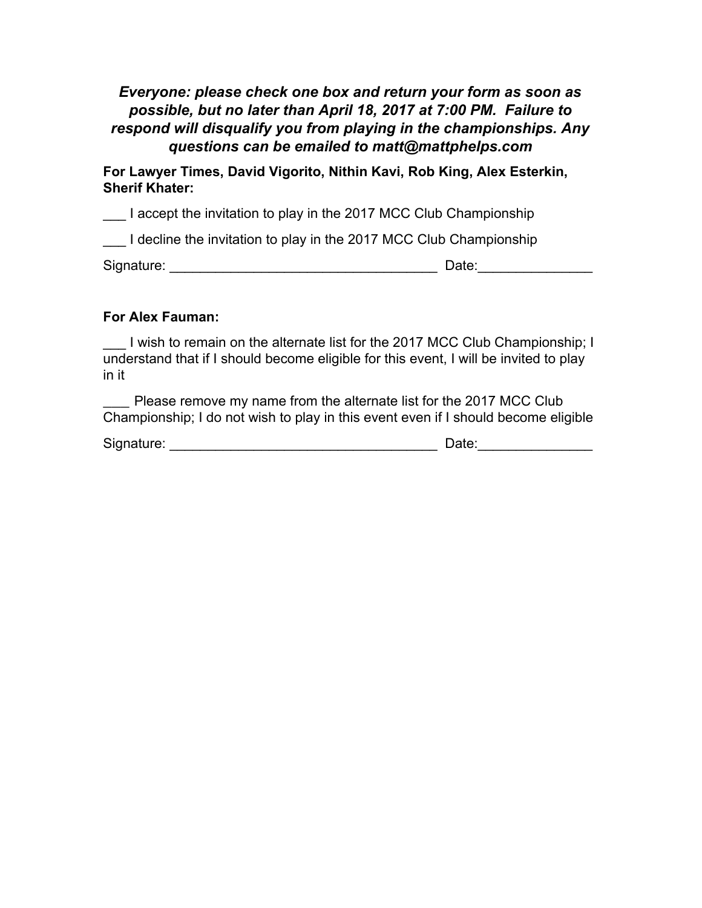# *Everyone: please check one box and return your form as soon as possible, but no later than April 18, 2017 at 7:00 PM. Failure to respond will disqualify you from playing in the championships. Any questions can be emailed to matt@mattphelps.com*

**For Lawyer Times, David Vigorito, Nithin Kavi, Rob King, Alex Esterkin, Sherif Khater:**

I accept the invitation to play in the 2017 MCC Club Championship

I decline the invitation to play in the 2017 MCC Club Championship

Signature: \_\_\_\_\_\_\_\_\_\_\_\_\_\_\_\_\_\_\_\_\_\_\_\_\_\_\_\_\_\_\_\_\_\_\_ Date:\_\_\_\_\_\_\_\_\_\_\_\_\_\_\_

## **For Alex Fauman:**

I wish to remain on the alternate list for the 2017 MCC Club Championship; I understand that if I should become eligible for this event, I will be invited to play in it

Please remove my name from the alternate list for the 2017 MCC Club Championship; I do not wish to play in this event even if I should become eligible

| Signature: | Date: |  |
|------------|-------|--|
|            |       |  |